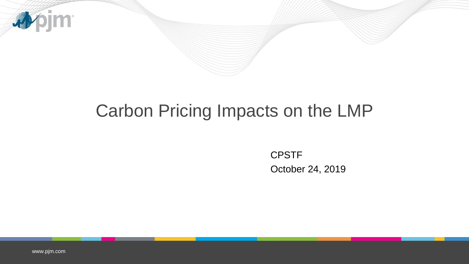

## Carbon Pricing Impacts on the LMP

CPSTF October 24, 2019

[www.pjm.com](http://www.pjm.com/)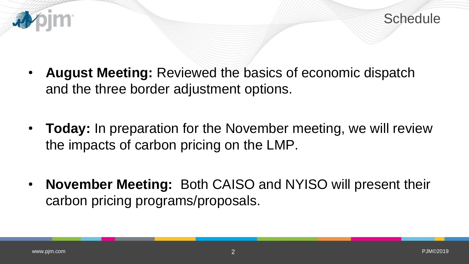



- **August Meeting:** Reviewed the basics of economic dispatch and the three border adjustment options.
- **Today:** In preparation for the November meeting, we will review the impacts of carbon pricing on the LMP.
- **November Meeting:** Both CAISO and NYISO will present their carbon pricing programs/proposals.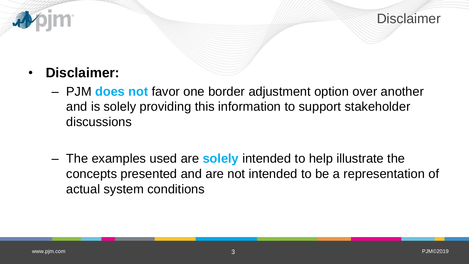

### • **Disclaimer:**

- PJM **does not** favor one border adjustment option over another and is solely providing this information to support stakeholder discussions
- The examples used are **solely** intended to help illustrate the concepts presented and are not intended to be a representation of actual system conditions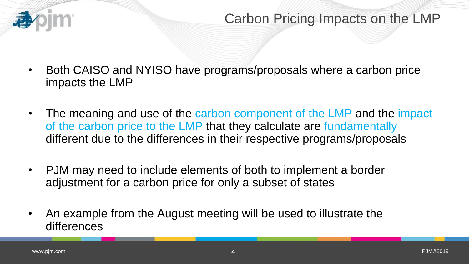

- Both CAISO and NYISO have programs/proposals where a carbon price impacts the LMP
- The meaning and use of the carbon component of the LMP and the impact of the carbon price to the LMP that they calculate are fundamentally different due to the differences in their respective programs/proposals
- PJM may need to include elements of both to implement a border adjustment for a carbon price for only a subset of states
- An example from the August meeting will be used to illustrate the differences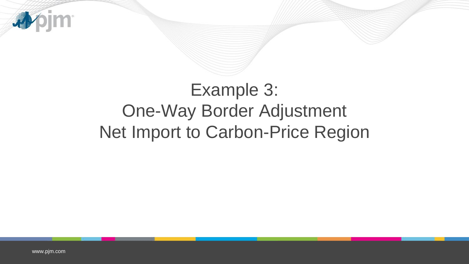

# Example 3: One-Way Border Adjustment Net Import to Carbon-Price Region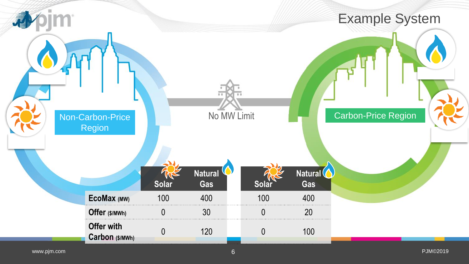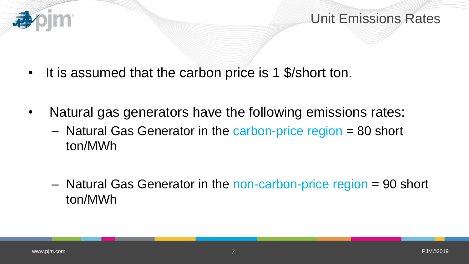

Unit Emissions Rates

- It is assumed that the carbon price is 1 \$/short ton.
- Natural gas generators have the following emissions rates:
	- Natural Gas Generator in the carbon-price region = 80 short ton/MWh
	- Natural Gas Generator in the non-carbon-price region = 90 short ton/MWh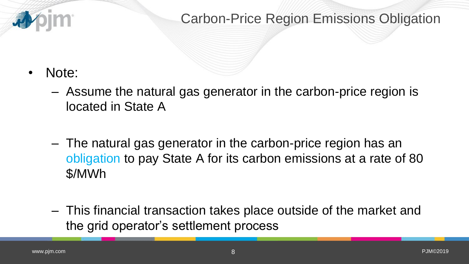

### Carbon-Price Region Emissions Obligation

- Note:
	- Assume the natural gas generator in the carbon-price region is located in State A
	- The natural gas generator in the carbon-price region has an obligation to pay State A for its carbon emissions at a rate of 80 \$/MWh
	- This financial transaction takes place outside of the market and the grid operator's settlement process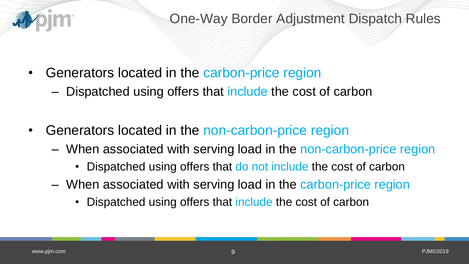

### One-Way Border Adjustment Dispatch Rules

- Generators located in the carbon-price region
	- Dispatched using offers that include the cost of carbon
- Generators located in the non-carbon-price region
	- When associated with serving load in the non-carbon-price region
		- Dispatched using offers that do not include the cost of carbon
	- When associated with serving load in the carbon-price region
		- Dispatched using offers that include the cost of carbon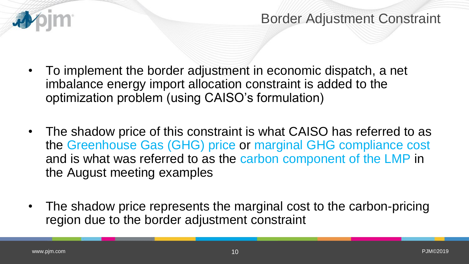

Border Adjustment Constraint

- To implement the border adjustment in economic dispatch, a net imbalance energy import allocation constraint is added to the optimization problem (using CAISO's formulation)
- The shadow price of this constraint is what CAISO has referred to as the Greenhouse Gas (GHG) price or marginal GHG compliance cost and is what was referred to as the carbon component of the LMP in the August meeting examples
- The shadow price represents the marginal cost to the carbon-pricing region due to the border adjustment constraint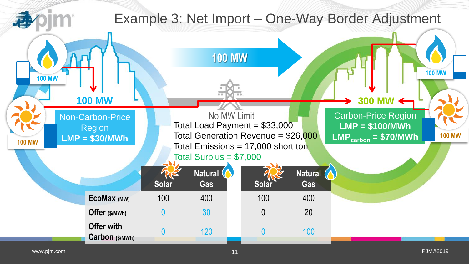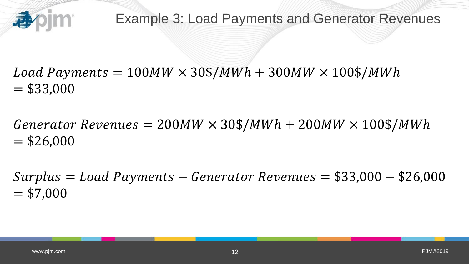

 $Load~Payments = 100MW \times 30\$/MWh + 300MW \times 100\$/MWh$  $=$  \$33,000

 $Generator$  Revenues = 200MW  $\times$  30\$/MWh + 200MW  $\times$  100\$/MWh  $=$  \$26,000

 $Surplus = Load$   $Payments -Generator$   $Revenues = $33,000 - $26,000$  $= $7,000$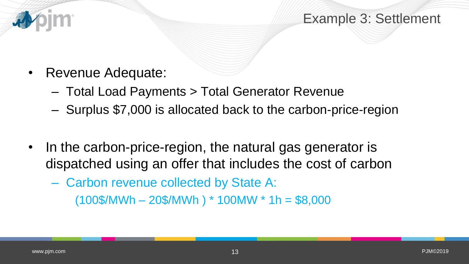

- Revenue Adequate:
	- Total Load Payments > Total Generator Revenue
	- Surplus \$7,000 is allocated back to the carbon-price-region
- In the carbon-price-region, the natural gas generator is dispatched using an offer that includes the cost of carbon
	- Carbon revenue collected by State A:  $(100\$/MWh - 20\$/MWh) * 100MW * 1h = $8,000$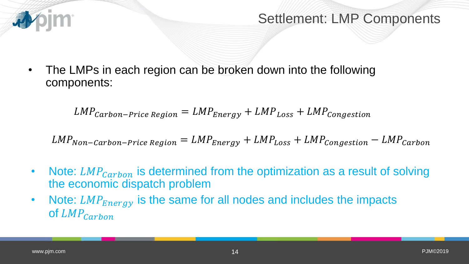

#### Settlement: LMP Components

• The LMPs in each region can be broken down into the following components:

 $LMP_{carbon-Price\ Region} = LMP_{Energy} + LMP_{Loss} + LMP_{congestion}$ 

 $LMP_{Non-Carbon-Price\ Region} = LMP_{Energy} + LMP_{Loss} + LMP_{Consation} - LMP_{carbon}$ 

- Note:  $LMP_{carbon}$  is determined from the optimization as a result of solving the economic dispatch problem
- Note:  $LMP_{Energy}$  is the same for all nodes and includes the impacts of  $LMP_{carbon}$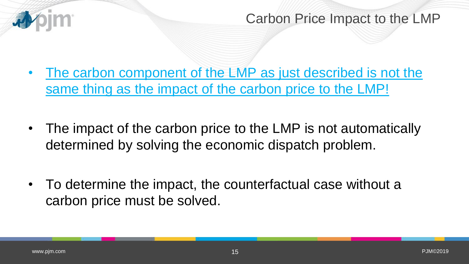

Carbon Price Impact to the LMP

- The carbon component of the LMP as just described is not the same thing as the impact of the carbon price to the LMP!
- The impact of the carbon price to the LMP is not automatically determined by solving the economic dispatch problem.
- To determine the impact, the counterfactual case without a carbon price must be solved.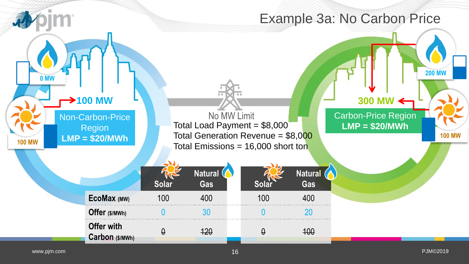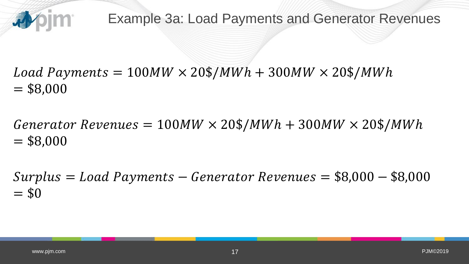

Example 3a: Load Payments and Generator Revenues

 $Load~Payments = 100MW \times 20\$/MWh + 300MW \times 20\$/MWh$  $= $8,000$ 

 $Generator$  Revenues = 100MW  $\times$  20\$/MWh + 300MW  $\times$  20\$/MWh  $= $8,000$ 

 $Surplus = Load$  Payments – Generator Revenues =  $$8,000 - $8,000$  $= $0$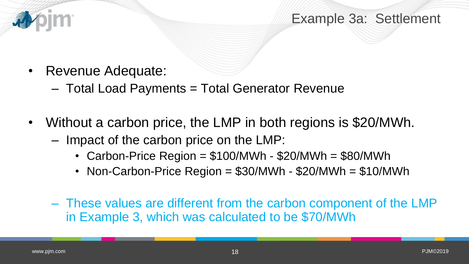

Example 3a: Settlement

- Revenue Adequate:
	- Total Load Payments = Total Generator Revenue
- Without a carbon price, the LMP in both regions is \$20/MWh.
	- Impact of the carbon price on the LMP:
		- Carbon-Price Region = \$100/MWh \$20/MWh = \$80/MWh
		- Non-Carbon-Price Region = \$30/MWh \$20/MWh = \$10/MWh
	- These values are different from the carbon component of the LMP in Example 3, which was calculated to be \$70/MWh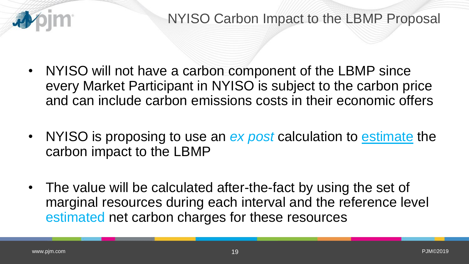

- NYISO will not have a carbon component of the LBMP since every Market Participant in NYISO is subject to the carbon price and can include carbon emissions costs in their economic offers
- NYISO is proposing to use an *ex post* calculation to estimate the carbon impact to the LBMP
- The value will be calculated after-the-fact by using the set of marginal resources during each interval and the reference level estimated net carbon charges for these resources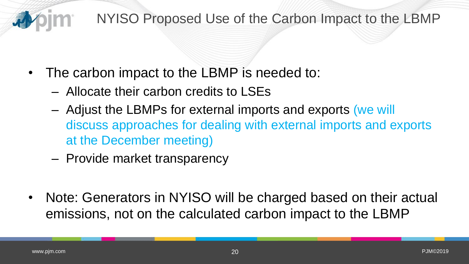

#### NYISO Proposed Use of the Carbon Impact to the LBMP

- The carbon impact to the LBMP is needed to:
	- Allocate their carbon credits to LSEs
	- Adjust the LBMPs for external imports and exports (we will discuss approaches for dealing with external imports and exports at the December meeting)
	- Provide market transparency
- Note: Generators in NYISO will be charged based on their actual emissions, not on the calculated carbon impact to the LBMP